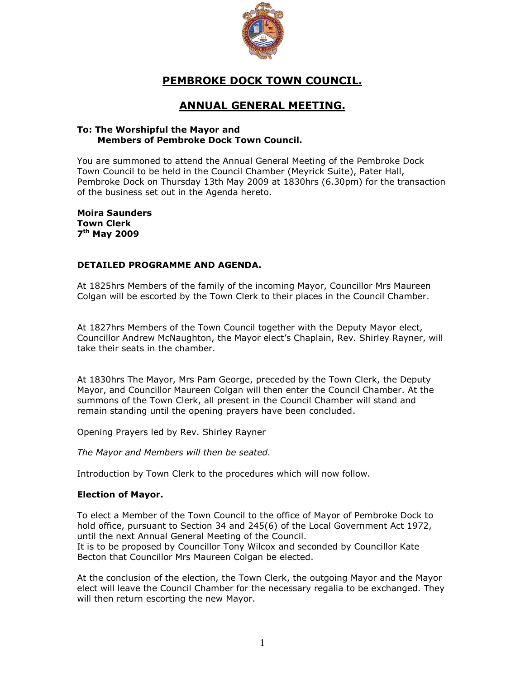

# **PEMBROKE DOCK TOWN COUNCIL.**

# **ANNUAL GENERAL MEETING.**

#### **To: The Worshipful the Mayor and Members of Pembroke Dock Town Council.**

You are summoned to attend the Annual General Meeting of the Pembroke Dock Town Council to be held in the Council Chamber (Meyrick Suite), Pater Hall, Pembroke Dock on Thursday 13th May 2009 at 1830hrs (6.30pm) for the transaction of the business set out in the Agenda hereto.

**Moira Saunders Town Clerk 7 th May 2009**

### **DETAILED PROGRAMME AND AGENDA.**

At 1825hrs Members of the family of the incoming Mayor, Councillor Mrs Maureen Colgan will be escorted by the Town Clerk to their places in the Council Chamber.

At 1827hrs Members of the Town Council together with the Deputy Mayor elect, Councillor Andrew McNaughton, the Mayor elect's Chaplain, Rev. Shirley Rayner, will take their seats in the chamber.

At 1830hrs The Mayor, Mrs Pam George, preceded by the Town Clerk, the Deputy Mayor, and Councillor Maureen Colgan will then enter the Council Chamber. At the summons of the Town Clerk, all present in the Council Chamber will stand and remain standing until the opening prayers have been concluded.

Opening Prayers led by Rev. Shirley Rayner

*The Mayor and Members will then be seated.*

Introduction by Town Clerk to the procedures which will now follow.

#### **Election of Mayor.**

To elect a Member of the Town Council to the office of Mayor of Pembroke Dock to hold office, pursuant to Section 34 and 245(6) of the Local Government Act 1972, until the next Annual General Meeting of the Council.

It is to be proposed by Councillor Tony Wilcox and seconded by Councillor Kate Becton that Councillor Mrs Maureen Colgan be elected.

At the conclusion of the election, the Town Clerk, the outgoing Mayor and the Mayor elect will leave the Council Chamber for the necessary regalia to be exchanged. They will then return escorting the new Mayor.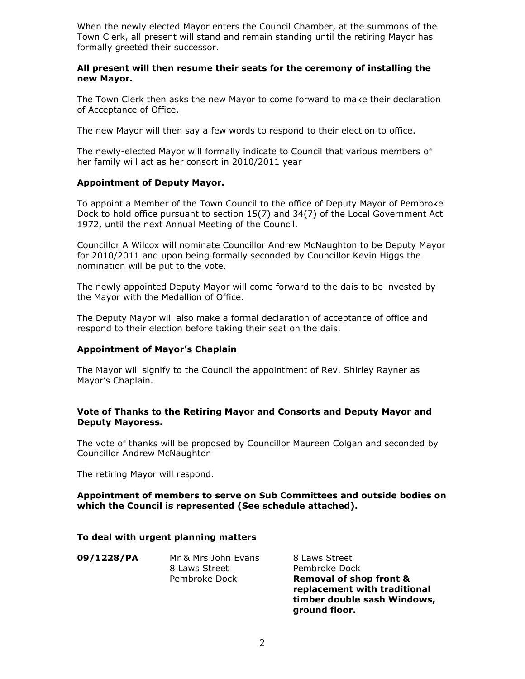When the newly elected Mayor enters the Council Chamber, at the summons of the Town Clerk, all present will stand and remain standing until the retiring Mayor has formally greeted their successor.

#### **All present will then resume their seats for the ceremony of installing the new Mayor.**

The Town Clerk then asks the new Mayor to come forward to make their declaration of Acceptance of Office.

The new Mayor will then say a few words to respond to their election to office.

The newly-elected Mayor will formally indicate to Council that various members of her family will act as her consort in 2010/2011 year

#### **Appointment of Deputy Mayor.**

To appoint a Member of the Town Council to the office of Deputy Mayor of Pembroke Dock to hold office pursuant to section 15(7) and 34(7) of the Local Government Act 1972, until the next Annual Meeting of the Council.

Councillor A Wilcox will nominate Councillor Andrew McNaughton to be Deputy Mayor for 2010/2011 and upon being formally seconded by Councillor Kevin Higgs the nomination will be put to the vote.

The newly appointed Deputy Mayor will come forward to the dais to be invested by the Mayor with the Medallion of Office.

The Deputy Mayor will also make a formal declaration of acceptance of office and respond to their election before taking their seat on the dais.

#### **Appointment of Mayor's Chaplain**

The Mayor will signify to the Council the appointment of Rev. Shirley Rayner as Mayor's Chaplain.

#### **Vote of Thanks to the Retiring Mayor and Consorts and Deputy Mayor and Deputy Mayoress.**

The vote of thanks will be proposed by Councillor Maureen Colgan and seconded by Councillor Andrew McNaughton

The retiring Mayor will respond.

#### **Appointment of members to serve on Sub Committees and outside bodies on which the Council is represented (See schedule attached).**

#### **To deal with urgent planning matters**

| 09/1228/PA | Mr & Mrs John Evans<br>8 Laws Street | 8 Laws Street<br>Pembroke Dock                                     |
|------------|--------------------------------------|--------------------------------------------------------------------|
|            | Pembroke Dock                        | <b>Removal of shop front &amp;</b><br>replacement with traditional |

**timber double sash Windows,** 

**ground floor.**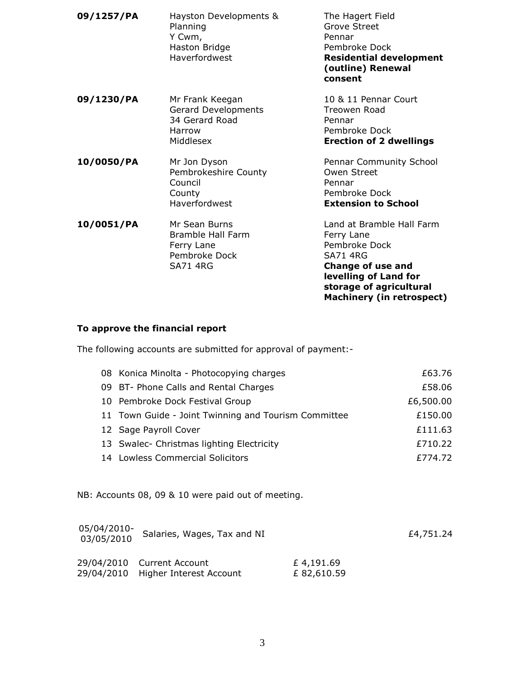| 09/1257/PA | Hayston Developments &<br>Planning<br>Y Cwm,<br>Haston Bridge<br><b>Haverfordwest</b> | The Hagert Field<br><b>Grove Street</b><br>Pennar<br>Pembroke Dock<br><b>Residential development</b><br>(outline) Renewal<br>consent                                                            |
|------------|---------------------------------------------------------------------------------------|-------------------------------------------------------------------------------------------------------------------------------------------------------------------------------------------------|
| 09/1230/PA | Mr Frank Keegan<br>Gerard Developments<br>34 Gerard Road<br>Harrow<br>Middlesex       | 10 & 11 Pennar Court<br>Treowen Road<br>Pennar<br>Pembroke Dock<br><b>Erection of 2 dwellings</b>                                                                                               |
| 10/0050/PA | Mr Jon Dyson<br>Pembrokeshire County<br>Council<br>County<br>Haverfordwest            | Pennar Community School<br>Owen Street<br>Pennar<br>Pembroke Dock<br><b>Extension to School</b>                                                                                                 |
| 10/0051/PA | Mr Sean Burns<br>Bramble Hall Farm<br>Ferry Lane<br>Pembroke Dock<br><b>SA71 4RG</b>  | Land at Bramble Hall Farm<br>Ferry Lane<br>Pembroke Dock<br><b>SA71 4RG</b><br><b>Change of use and</b><br>levelling of Land for<br>storage of agricultural<br><b>Machinery (in retrospect)</b> |

### **To approve the financial report**

The following accounts are submitted for approval of payment:-

|                                           | 08 Konica Minolta - Photocopying charges             |                         | £63.76    |
|-------------------------------------------|------------------------------------------------------|-------------------------|-----------|
|                                           | 09 BT- Phone Calls and Rental Charges                |                         | £58.06    |
|                                           | 10 Pembroke Dock Festival Group                      |                         |           |
|                                           | 11 Town Guide - Joint Twinning and Tourism Committee |                         |           |
|                                           | 12 Sage Payroll Cover                                |                         |           |
| 13 Swalec- Christmas lighting Electricity |                                                      |                         | £710.22   |
| 14 Lowless Commercial Solicitors          |                                                      |                         | £774.72   |
|                                           | NB: Accounts 08, 09 & 10 were paid out of meeting.   |                         |           |
| 05/04/2010-<br>03/05/2010                 | Salaries, Wages, Tax and NI                          |                         | £4,751.24 |
| 29/04/2010<br>29/04/2010                  | <b>Current Account</b><br>Higher Interest Account    | £4,191.69<br>£82,610.59 |           |